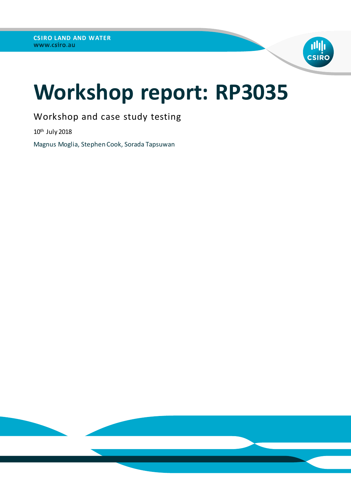

# **Workshop report: RP3035**

Workshop and case study testing

10th July 2018

Magnus Moglia, Stephen Cook, Sorada Tapsuwan

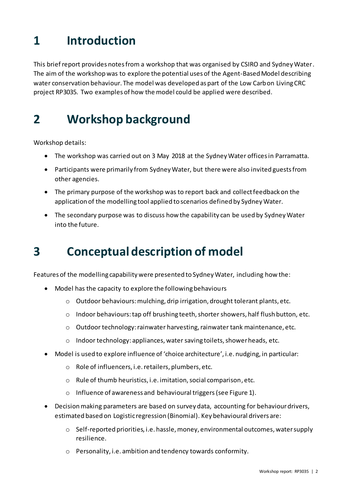# **1 Introduction**

This briefreport provides notes from a workshop that was organised by CSIRO and Sydney Water. The aim of the workshop was to explore the potential uses of the Agent-Based Model describing water conservation behaviour. The model was developed as part of the Low Carbon Living CRC project RP3035. Two examples of how the model could be applied were described.

### **2 Workshop background**

Workshop details:

- The workshop was carried out on 3 May 2018 at the Sydney Water offices in Parramatta.
- Participants were primarily from Sydney Water, but there were also invited guests from other agencies.
- The primary purpose of the workshop was to report back and collect feedback on the application of the modelling tool applied to scenarios defined by Sydney Water.
- The secondary purpose was to discuss how the capability can be used by Sydney Water into the future.

## **3 Conceptual description of model**

Features of the modelling capability were presented to Sydney Water, including how the:

- Model has the capacity to explore the following behaviours
	- o Outdoor behaviours: mulching, drip irrigation, drought tolerant plants, etc.
	- o Indoor behaviours: tap off brushing teeth, shorter showers, half flush button, etc.
	- o Outdoor technology: rainwater harvesting, rainwater tank maintenance, etc.
	- o Indoor technology: appliances, water saving toilets, shower heads, etc.
- Model is used to explore influence of 'choice architecture', i.e. nudging, in particular:
	- o Role of influencers, i.e. retailers, plumbers, etc.
	- o Rule of thumb heuristics, i.e. imitation, social comparison, etc.
	- o Influence of awareness and behavioural triggers(se[e Figure 1\)](#page-2-0).
- Decision making parameters are based on survey data, accounting for behaviour drivers, estimated based on Logistic regression (Binomial). Key behavioural drivers are:
	- $\circ$  Self-reported priorities, i.e. hassle, money, environmental outcomes, water supply resilience.
	- o Personality, i.e. ambition and tendency towards conformity.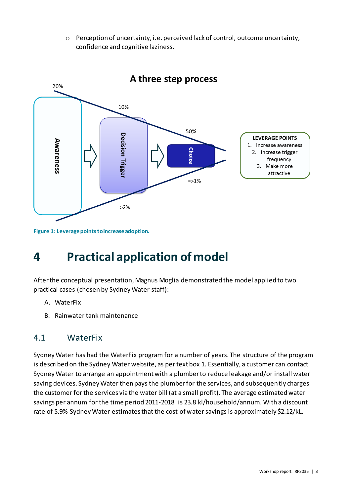o Perception of uncertainty, i.e. perceived lack of control, outcome uncertainty, confidence and cognitive laziness.



### A three step process

<span id="page-2-0"></span>**Figure 1: Leverage points to increase adoption.**

# **4 Practical application of model**

After the conceptual presentation, Magnus Moglia demonstrated the model applied to two practical cases (chosen by Sydney Water staff):

- A. WaterFix
- B. Rainwater tank maintenance

### 4.1 WaterFix

Sydney Water has had the WaterFix program for a number of years. The structure of the program is described on the Sydney Water website, as per text box 1. Essentially, a customer can contact Sydney Water to arrange an appointment with a plumber to reduce leakage and/or install water saving devices. Sydney Water then pays the plumber for the services, and subsequently charges the customer for the services via the water bill (at a small profit). The average estimated water savings per annum for the time period 2011-2018 is 23.8 kl/household/annum. With a discount rate of 5.9% Sydney Water estimates that the cost of water savings is approximately \$2.12/kL.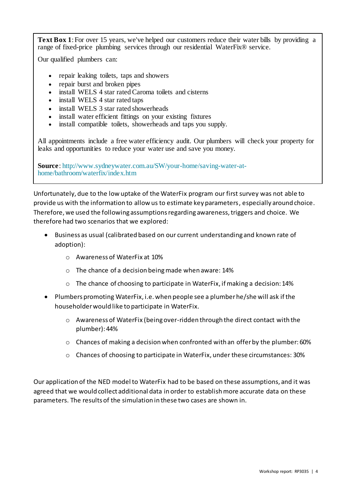**Text Box 1**: For over 15 years, we've helped our customers reduce their water bills by providing a range of fixed-price plumbing services through our residential WaterFix® service.

Our qualified plumbers can:

- repair leaking toilets, taps and showers
- repair burst and broken pipes
- install WELS 4 star rated Caroma toilets and cisterns
- install WELS 4 star rated taps
- install WELS 3 star rated showerheads
- install water efficient fittings on your existing fixtures
- install compatible toilets, showerheads and taps you supply.

All appointments include a free water efficiency audit. Our plumbers will check your property for leaks and opportunities to reduce your water use and save you money.

**Source**: [http://www.sydneywater.com.au/SW/your-home/saving-water-at](http://www.sydneywater.com.au/SW/your-home/saving-water-at-home/bathroom/waterfix/index.htm)[home/bathroom/waterfix/index.htm](http://www.sydneywater.com.au/SW/your-home/saving-water-at-home/bathroom/waterfix/index.htm)

Unfortunately, due to the low uptake of the WaterFix program our first survey was not able to provide us with the information to allow us to estimate key parameters, especially around choice. Therefore, we used the following assumptions regarding awareness, triggers and choice. We therefore had two scenarios that we explored:

- Business as usual (calibrated based on our current understanding and known rate of adoption):
	- o Awareness of WaterFix at 10%
	- o The chance of a decision being made when aware: 14%
	- o The chance of choosing to participate in WaterFix, if making a decision: 14%
- Plumbers promoting WaterFix, i.e. when people see a plumber he/she will ask if the householder would like to participate in WaterFix.
	- o Awareness of WaterFix (being over-ridden through the direct contact with the plumber): 44%
	- $\circ$  Chances of making a decision when confronted with an offer by the plumber: 60%
	- o Chances of choosing to participate in WaterFix, under these circumstances: 30%

Our application of the NED model to WaterFix had to be based on these assumptions, and it was agreed that we would collect additional data in order to establish more accurate data on these parameters. The results of the simulation in these two cases are shown in.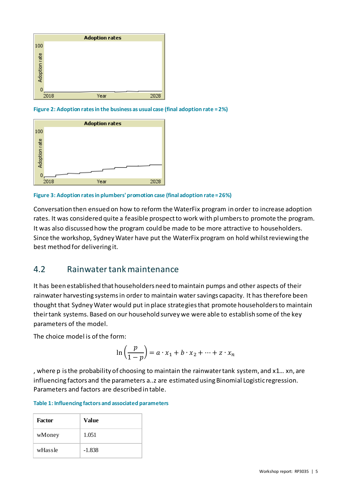

**Figure 2: Adoption rates in the business as usual case (final adoption rate = 2%)**



**Figure 3: Adoption rates in plumbers' promotion case (final adoption rate = 26%)**

Conversation then ensued on how to reform the WaterFix program in order to increase adoption rates. It was considered quite a feasible prospect to work with plumbers to promote the program. It was also discussed how the program could be made to be more attractive to householders. Since the workshop, Sydney Water have put the WaterFix program on hold whilst reviewing the best method for delivering it.

### 4.2 Rainwater tank maintenance

It has been established that householders need to maintain pumps and other aspects of their rainwater harvesting systems in order to maintain water savings capacity. It has therefore been thought that Sydney Water would put in place strategies that promote householders to maintain their tank systems. Based on our household survey we were able to establish some of the key parameters of the model.

The choice model is of the form:

$$
\ln\left(\frac{p}{1-p}\right) = a \cdot x_1 + b \cdot x_2 + \dots + z \cdot x_n
$$

, where p is the probability of choosing to maintain the rainwater tank system, and x1… xn, are influencing factors and the parameters a..z are estimated using Binomial Logistic regression. Parameters and factors are described in table.

### **Table 1: Influencing factors and associated parameters**

| <b>Factor</b> | Value    |
|---------------|----------|
| wMoney        | 1.051    |
| wHassle       | $-1.838$ |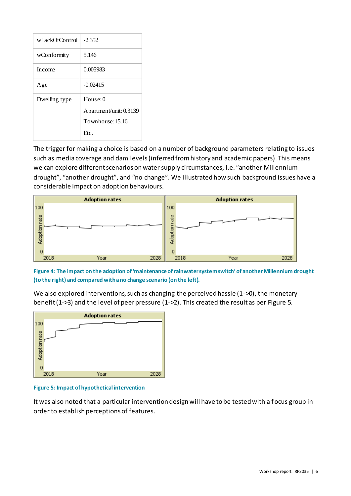| wLackOfControl | $-2.352$               |
|----------------|------------------------|
| wConformity    | 5.146                  |
| Income         | 0.005983               |
| Age            | $-0.02415$             |
| Dwelling type  | House: $0$             |
|                | Apartment/unit: 0.3139 |
|                | Townhouse: 15.16       |
|                | Ftc.                   |

The trigger for making a choice is based on a number of background parameters relating to issues such as media coverage and dam levels (inferred from history and academic papers). This means we can explore different scenarios on water supply circumstances, i.e. "another Millennium drought", "another drought", and "no change". We illustrated how such background issues have a considerable impact on adoption behaviours.



**Figure 4: The impact on the adoption of 'maintenance of rainwater system switch' of another Millennium drought (to the right) and compared with a no change scenario (on the left).**

**Adoption rates** 100 Adoption rate  $\circ$ 2028 2018 Year

We also explored interventions, such as changing the perceived hassle  $(1-50)$ , the monetary benefit (1->3) and the level of peer pressure (1->2). This created the result as per [Figure 5.](#page-5-0)

<span id="page-5-0"></span>**Figure 5: Impact of hypothetical intervention**

It was also noted that a particular intervention design will have to be tested with a focus group in order to establish perceptions of features.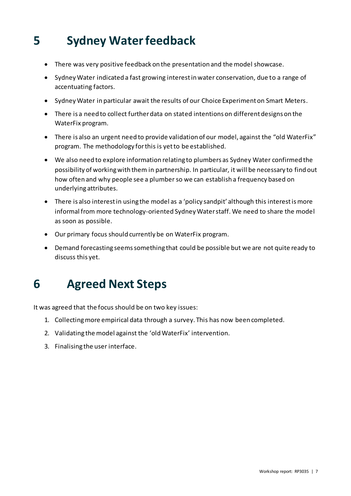# **5 Sydney Water feedback**

- There was very positive feedback on the presentation and the model showcase.
- Sydney Water indicated a fast growing interest in water conservation, due to a range of accentuating factors.
- Sydney Water in particular await the results of our Choice Experiment on Smart Meters.
- There is a need to collect further data on stated intentions on different designs on the WaterFix program.
- There is also an urgent need to provide validation of our model, against the "old WaterFix" program. The methodology for this is yet to be established.
- We also need to explore information relating to plumbers as Sydney Water confirmed the possibility of working with them in partnership. In particular, it will be necessary to find out how often and why people see a plumber so we can establish a frequency based on underlying attributes.
- There is also interest in using the model as a 'policy sandpit' although this interest is more informal from more technology-oriented Sydney Water staff. We need to share the model as soon as possible.
- Our primary focus should currently be on WaterFix program.
- Demand forecasting seems something that could be possible but we are not quite ready to discuss this yet.

## **6 Agreed Next Steps**

It was agreed that the focus should be on two key issues:

- 1. Collecting more empirical data through a survey. This has now been completed.
- 2. Validating the model against the 'old WaterFix' intervention.
- 3. Finalising the user interface.